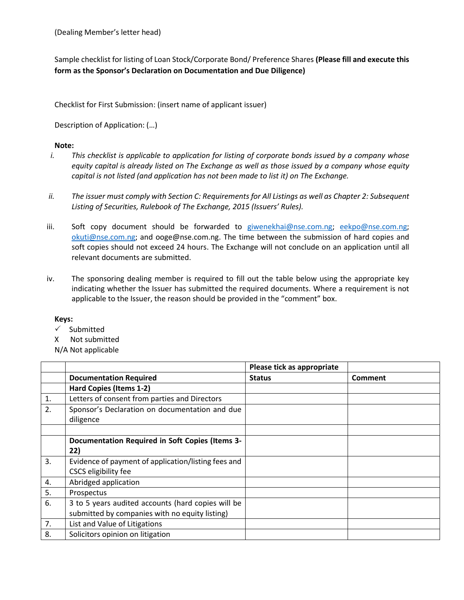(Dealing Member's letter head)

Sample checklist for listing of Loan Stock/Corporate Bond/ Preference Shares **(Please fill and execute this form as the Sponsor's Declaration on Documentation and Due Diligence)**

Checklist for First Submission: (insert name of applicant issuer)

Description of Application: (…)

## **Note:**

- *i. This checklist is applicable to application for listing of corporate bonds issued by a company whose equity capital is already listed on The Exchange as well as those issued by a company whose equity capital is not listed (and application has not been made to list it) on The Exchange.*
- *ii. The issuer must comply with Section C: Requirements for All Listings as well as Chapter 2: Subsequent Listing of Securities, Rulebook of The Exchange, 2015 (Issuers' Rules).*
- iii. Soft copy document should be forwarded to [giwenekhai@nse.com.ng;](mailto:giwenekhai@nse.com.ng) [eekpo@nse.com.ng;](mailto:eekpo@nse.com.ng) [okuti@nse.com.ng;](mailto:okuti@nse.com.ng) and ooge@nse.com.ng. The time between the submission of hard copies and soft copies should not exceed 24 hours. The Exchange will not conclude on an application until all relevant documents are submitted.
- iv. The sponsoring dealing member is required to fill out the table below using the appropriate key indicating whether the Issuer has submitted the required documents. Where a requirement is not applicable to the Issuer, the reason should be provided in the "comment" box.

## **Keys:**

- $\checkmark$  Submitted
- X Not submitted
- N/A Not applicable

|    |                                                     | Please tick as appropriate |         |
|----|-----------------------------------------------------|----------------------------|---------|
|    | <b>Documentation Required</b>                       | <b>Status</b>              | Comment |
|    | Hard Copies (Items 1-2)                             |                            |         |
| 1. | Letters of consent from parties and Directors       |                            |         |
| 2. | Sponsor's Declaration on documentation and due      |                            |         |
|    | diligence                                           |                            |         |
|    |                                                     |                            |         |
|    | Documentation Required in Soft Copies (Items 3-     |                            |         |
|    | 22)                                                 |                            |         |
| 3. | Evidence of payment of application/listing fees and |                            |         |
|    | CSCS eligibility fee                                |                            |         |
| 4. | Abridged application                                |                            |         |
| 5. | Prospectus                                          |                            |         |
| 6. | 3 to 5 years audited accounts (hard copies will be  |                            |         |
|    | submitted by companies with no equity listing)      |                            |         |
| 7. | List and Value of Litigations                       |                            |         |
| 8. | Solicitors opinion on litigation                    |                            |         |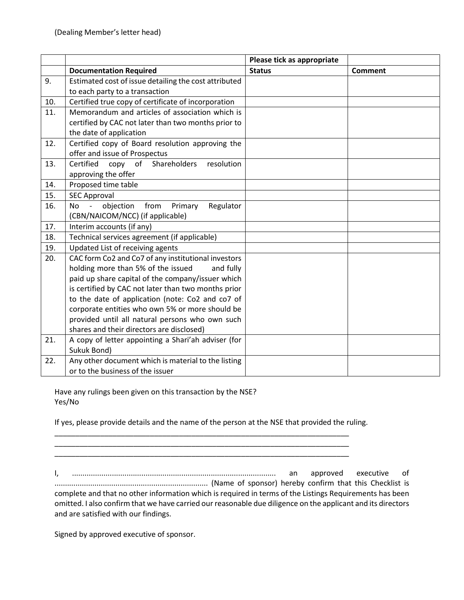|     |                                                                             | Please tick as appropriate |         |
|-----|-----------------------------------------------------------------------------|----------------------------|---------|
|     | <b>Documentation Required</b>                                               | <b>Status</b>              | Comment |
| 9.  | Estimated cost of issue detailing the cost attributed                       |                            |         |
|     | to each party to a transaction                                              |                            |         |
| 10. | Certified true copy of certificate of incorporation                         |                            |         |
| 11. | Memorandum and articles of association which is                             |                            |         |
|     | certified by CAC not later than two months prior to                         |                            |         |
|     | the date of application                                                     |                            |         |
| 12. | Certified copy of Board resolution approving the                            |                            |         |
|     | offer and issue of Prospectus                                               |                            |         |
| 13. | copy of Shareholders<br>Certified<br>resolution                             |                            |         |
|     | approving the offer                                                         |                            |         |
| 14. | Proposed time table                                                         |                            |         |
| 15. | <b>SEC Approval</b>                                                         |                            |         |
| 16. | objection<br>from<br>Primary<br>Regulator<br>No<br>$\overline{\phantom{0}}$ |                            |         |
|     | (CBN/NAICOM/NCC) (if applicable)                                            |                            |         |
| 17. | Interim accounts (if any)                                                   |                            |         |
| 18. | Technical services agreement (if applicable)                                |                            |         |
| 19. | Updated List of receiving agents                                            |                            |         |
| 20. | CAC form Co2 and Co7 of any institutional investors                         |                            |         |
|     | holding more than 5% of the issued<br>and fully                             |                            |         |
|     | paid up share capital of the company/issuer which                           |                            |         |
|     | is certified by CAC not later than two months prior                         |                            |         |
|     | to the date of application (note: Co2 and co7 of                            |                            |         |
|     | corporate entities who own 5% or more should be                             |                            |         |
|     | provided until all natural persons who own such                             |                            |         |
|     | shares and their directors are disclosed)                                   |                            |         |
| 21. | A copy of letter appointing a Shari'ah adviser (for                         |                            |         |
|     | Sukuk Bond)                                                                 |                            |         |
| 22. | Any other document which is material to the listing                         |                            |         |
|     | or to the business of the issuer                                            |                            |         |

Have any rulings been given on this transaction by the NSE? Yes/No

If yes, please provide details and the name of the person at the NSE that provided the ruling.

\_\_\_\_\_\_\_\_\_\_\_\_\_\_\_\_\_\_\_\_\_\_\_\_\_\_\_\_\_\_\_\_\_\_\_\_\_\_\_\_\_\_\_\_\_\_\_\_\_\_\_\_\_\_\_\_\_\_\_\_\_\_\_\_\_\_\_\_\_\_\_

I, ................................................................................................. an approved executive of ......................................................................... (Name of sponsor) hereby confirm that this Checklist is complete and that no other information which is required in terms of the Listings Requirements has been omitted. I also confirm that we have carried our reasonable due diligence on the applicant and its directors and are satisfied with our findings.

\_\_\_\_\_\_\_\_\_\_\_\_\_\_\_\_\_\_\_\_\_\_\_\_\_\_\_\_\_\_\_\_\_\_\_\_\_\_\_\_\_\_\_\_\_\_\_\_\_\_\_\_\_\_\_\_\_\_\_\_\_\_\_\_\_\_\_\_\_\_\_

Signed by approved executive of sponsor.